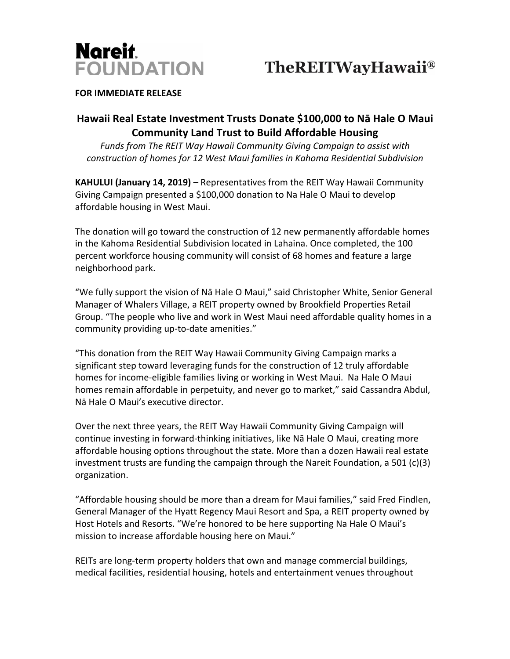

## **FOR IMMEDIATE RELEASE**

## **Hawaii Real Estate Investment Trusts Donate \$100,000 to Nā Hale O Maui Community Land Trust to Build Affordable Housing**

*Funds from The REIT Way Hawaii Community Giving Campaign to assist with construction of homes for 12 West Maui families in Kahoma Residential Subdivision*

**KAHULUI (January 14, 2019) –** Representatives from the REIT Way Hawaii Community Giving Campaign presented a \$100,000 donation to Na Hale O Maui to develop affordable housing in West Maui.

The donation will go toward the construction of 12 new permanently affordable homes in the Kahoma Residential Subdivision located in Lahaina. Once completed, the 100 percent workforce housing community will consist of 68 homes and feature a large neighborhood park.

"We fully support the vision of Nā Hale O Maui," said Christopher White, Senior General Manager of Whalers Village, a REIT property owned by Brookfield Properties Retail Group. "The people who live and work in West Maui need affordable quality homes in a community providing up-to-date amenities."

"This donation from the REIT Way Hawaii Community Giving Campaign marks a significant step toward leveraging funds for the construction of 12 truly affordable homes for income-eligible families living or working in West Maui. Na Hale O Maui homes remain affordable in perpetuity, and never go to market," said Cassandra Abdul, Nā Hale O Maui's executive director.

Over the next three years, the REIT Way Hawaii Community Giving Campaign will continue investing in forward-thinking initiatives, like Nā Hale O Maui, creating more affordable housing options throughout the state. More than a dozen Hawaii real estate investment trusts are funding the campaign through the Nareit Foundation, a 501  $(c)(3)$ organization.

"Affordable housing should be more than a dream for Maui families," said Fred Findlen, General Manager of the Hyatt Regency Maui Resort and Spa, a REIT property owned by Host Hotels and Resorts. "We're honored to be here supporting Na Hale O Maui's mission to increase affordable housing here on Maui."

REITs are long-term property holders that own and manage commercial buildings, medical facilities, residential housing, hotels and entertainment venues throughout